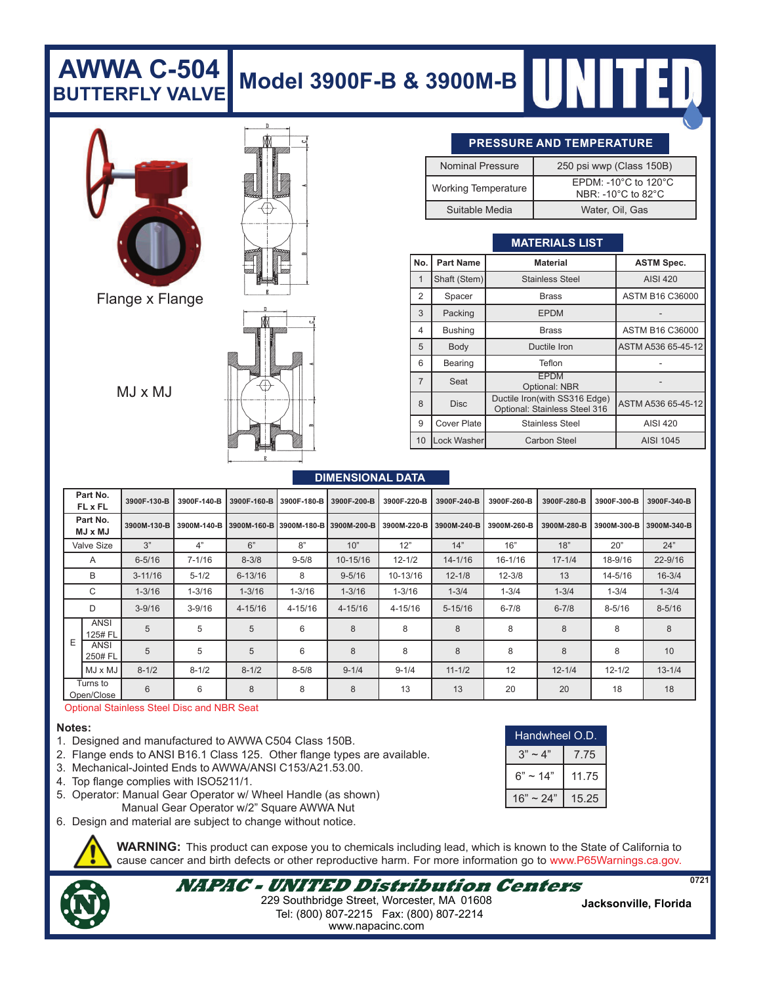### **Model 3900F-B & 3900M-B AWWA C-504 BUTTERFLY VALVE**



Flange x Flange

 $MJ \times MJ$ 



#### **PRESSURE AND TEMPERATURE**

| <b>Nominal Pressure</b>    | 250 psi wwp (Class 150B)                                                               |  |  |  |
|----------------------------|----------------------------------------------------------------------------------------|--|--|--|
| <b>Working Temperature</b> | EPDM: -10 $^{\circ}$ C to 120 $^{\circ}$ C<br>NBR: -10 $^{\circ}$ C to 82 $^{\circ}$ C |  |  |  |
| Suitable Media             | Water, Oil, Gas                                                                        |  |  |  |

#### **MATERIALS LIST**

| No.            | <b>Part Name</b>   | <b>Material</b>                                                | <b>ASTM Spec.</b>  |  |  |
|----------------|--------------------|----------------------------------------------------------------|--------------------|--|--|
|                | Shaft (Stem)       | <b>Stainless Steel</b>                                         | <b>AISI 420</b>    |  |  |
| 2              | Spacer             | Brass                                                          | ASTM B16 C36000    |  |  |
| 3              | Packing            | <b>EPDM</b>                                                    |                    |  |  |
| 4              | <b>Bushing</b>     | Brass                                                          | ASTM B16 C36000    |  |  |
| 5              | Body               | Ductile Iron                                                   | ASTM A536 65-45-12 |  |  |
| 6              | <b>Bearing</b>     | Teflon                                                         |                    |  |  |
| $\overline{7}$ | Seat               | <b>EPDM</b><br>Optional: NBR                                   |                    |  |  |
| 8              | <b>Disc</b>        | Ductile Iron(with SS316 Edge)<br>Optional: Stainless Steel 316 | ASTM A536 65-45-12 |  |  |
| 9              | <b>Cover Plate</b> | <b>Stainless Steel</b>                                         | <b>AISI 420</b>    |  |  |
| 10             | Lock Washer        | <b>Carbon Steel</b>                                            | AISI 1045          |  |  |

#### **DIMENSIONAL DATA**

|                   | Part No.<br><b>FL x FL</b> | 3900F-130-B | 3900F-140-B | 3900F-160-B | 3900F-180-B | 3900F-200-B             | 3900F-220-B | 3900F-240-B | 3900F-260-B | 3900F-280-B | 3900F-300-B | 3900F-340-B |
|-------------------|----------------------------|-------------|-------------|-------------|-------------|-------------------------|-------------|-------------|-------------|-------------|-------------|-------------|
|                   | Part No.<br><b>UM x LM</b> | 3900M-130-B | 3900M-140-B | 3900M-160-B |             | 3900M-180-B 3900M-200-B | 3900M-220-B | 3900M-240-B | 3900M-260-B | 3900M-280-B | 3900M-300-B | 3900M-340-B |
| <b>Valve Size</b> |                            | 3"          | 4"          | 6"          | 8"          | 10"                     | 12"         | 14"         | 16"         | 18"         | 20"         | 24"         |
|                   | A                          | $6 - 5/16$  | $7 - 1/16$  | $8 - 3/8$   | $9 - 5/8$   | 10-15/16                | $12 - 1/2$  | $14 - 1/16$ | $16 - 1/16$ | $17 - 1/4$  | 18-9/16     | $22 - 9/16$ |
| B                 |                            | $3 - 11/16$ | $5 - 1/2$   | $6 - 13/16$ | 8           | $9 - 5/16$              | 10-13/16    | $12 - 1/8$  | $12 - 3/8$  | 13          | 14-5/16     | $16 - 3/4$  |
|                   | C                          | $1 - 3/16$  | $1 - 3/16$  | $1 - 3/16$  | $1 - 3/16$  | $1 - 3/16$              | $1 - 3/16$  | $1 - 3/4$   | $1 - 3/4$   | $1 - 3/4$   | $1 - 3/4$   | $1 - 3/4$   |
|                   | D                          | $3 - 9/16$  | $3 - 9/16$  | 4-15/16     | 4-15/16     | $4 - 15/16$             | 4-15/16     | $5 - 15/16$ | $6 - 7/8$   | $6 - 7/8$   | $8 - 5/16$  | $8 - 5/16$  |
| Ε                 | ANSI<br>125# FL            | 5           | 5           | 5           | 6           | 8                       | 8           | 8           | 8           | 8           | 8           | 8           |
|                   | ANSI<br>250# FL            | 5           | 5           | 5           | 6           | 8                       | 8           | 8           | 8           | 8           | 8           | 10          |
|                   | $MJ \times MJ$             | $8 - 1/2$   | $8 - 1/2$   | $8 - 1/2$   | $8 - 5/8$   | $9 - 1/4$               | $9 - 1/4$   | $11 - 1/2$  | 12          | $12 - 1/4$  | $12 - 1/2$  | $13 - 1/4$  |
|                   | Turns to<br>Open/Close     | 6           | 6           | 8           | 8           | 8                       | 13          | 13          | 20          | 20          | 18          | 18          |

#### Optional Stainless Steel Disc and NBR Seat

#### **Notes:**

- 1. Designed and manufactured to AWWA C504 Class 150B.
- 2. Flange ends to ANSI B16.1 Class 125. Other flange types are available.
- 3. Mechanical-Jointed Ends to AWWA/ANSI C153/A21.53.00.
- 4. Top flange complies with ISO5211/1.
- 5. Operator: Manual Gear Operator w/ Wheel Handle (as shown) Manual Gear Operator w/2" Square AWWA Nut
- 6. Design and material are subject to change without notice.

**WARNING:** This product can expose you to chemicals including lead, which is known to the State of California to cause cancer and birth defects or other reproductive harm. For more information go to www.P65Warnings.ca.gov.

**NAPAC - UNITED Distribution Centers** Tel: (800) 807-2215 Fax: (800) 807-2214 **Jacksonville, Florida** 229 Southbridge Street, Worcester, MA 01608 www.napacinc.com

| Handwheel O.D. |       |  |  |
|----------------|-------|--|--|
| $3" \sim 4"$   | 7.75  |  |  |
| $6" \sim 14"$  | 11.75 |  |  |
| $16" \sim 24"$ | 15.25 |  |  |

**0721**